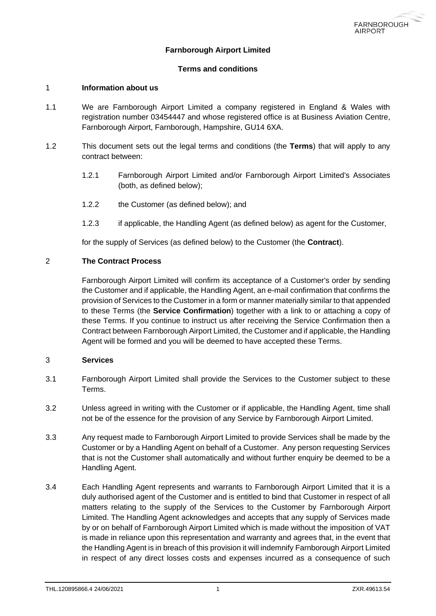

# **Farnborough Airport Limited**

### **Terms and conditions**

#### 1 **Information about us**

- 1.1 We are Farnborough Airport Limited a company registered in England & Wales with registration number 03454447 and whose registered office is at Business Aviation Centre, Farnborough Airport, Farnborough, Hampshire, GU14 6XA.
- 1.2 This document sets out the legal terms and conditions (the **Terms**) that will apply to any contract between:
	- 1.2.1 Farnborough Airport Limited and/or Farnborough Airport Limited's Associates (both, as defined below);
	- 1.2.2 the Customer (as defined below); and
	- 1.2.3 if applicable, the Handling Agent (as defined below) as agent for the Customer,

for the supply of Services (as defined below) to the Customer (the **Contract**).

### 2 **The Contract Process**

Farnborough Airport Limited will confirm its acceptance of a Customer's order by sending the Customer and if applicable, the Handling Agent, an e-mail confirmation that confirms the provision of Services to the Customer in a form or manner materially similar to that appended to these Terms (the **Service Confirmation**) together with a link to or attaching a copy of these Terms. If you continue to instruct us after receiving the Service Confirmation then a Contract between Farnborough Airport Limited, the Customer and if applicable, the Handling Agent will be formed and you will be deemed to have accepted these Terms.

### 3 **Services**

- 3.1 Farnborough Airport Limited shall provide the Services to the Customer subject to these Terms.
- 3.2 Unless agreed in writing with the Customer or if applicable, the Handling Agent, time shall not be of the essence for the provision of any Service by Farnborough Airport Limited.
- 3.3 Any request made to Farnborough Airport Limited to provide Services shall be made by the Customer or by a Handling Agent on behalf of a Customer. Any person requesting Services that is not the Customer shall automatically and without further enquiry be deemed to be a Handling Agent.
- 3.4 Each Handling Agent represents and warrants to Farnborough Airport Limited that it is a duly authorised agent of the Customer and is entitled to bind that Customer in respect of all matters relating to the supply of the Services to the Customer by Farnborough Airport Limited. The Handling Agent acknowledges and accepts that any supply of Services made by or on behalf of Farnborough Airport Limited which is made without the imposition of VAT is made in reliance upon this representation and warranty and agrees that, in the event that the Handling Agent is in breach of this provision it will indemnify Farnborough Airport Limited in respect of any direct losses costs and expenses incurred as a consequence of such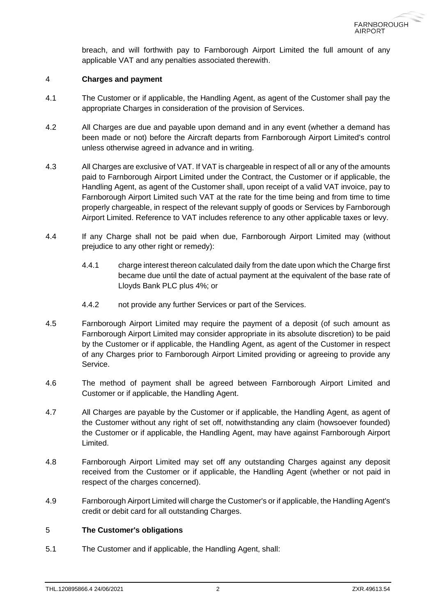breach, and will forthwith pay to Farnborough Airport Limited the full amount of any applicable VAT and any penalties associated therewith.

### 4 **Charges and payment**

- 4.1 The Customer or if applicable, the Handling Agent, as agent of the Customer shall pay the appropriate Charges in consideration of the provision of Services.
- 4.2 All Charges are due and payable upon demand and in any event (whether a demand has been made or not) before the Aircraft departs from Farnborough Airport Limited's control unless otherwise agreed in advance and in writing.
- 4.3 All Charges are exclusive of VAT. If VAT is chargeable in respect of all or any of the amounts paid to Farnborough Airport Limited under the Contract, the Customer or if applicable, the Handling Agent, as agent of the Customer shall, upon receipt of a valid VAT invoice, pay to Farnborough Airport Limited such VAT at the rate for the time being and from time to time properly chargeable, in respect of the relevant supply of goods or Services by Farnborough Airport Limited. Reference to VAT includes reference to any other applicable taxes or levy.
- 4.4 If any Charge shall not be paid when due, Farnborough Airport Limited may (without prejudice to any other right or remedy):
	- 4.4.1 charge interest thereon calculated daily from the date upon which the Charge first became due until the date of actual payment at the equivalent of the base rate of Lloyds Bank PLC plus 4%; or
	- 4.4.2 not provide any further Services or part of the Services.
- 4.5 Farnborough Airport Limited may require the payment of a deposit (of such amount as Farnborough Airport Limited may consider appropriate in its absolute discretion) to be paid by the Customer or if applicable, the Handling Agent, as agent of the Customer in respect of any Charges prior to Farnborough Airport Limited providing or agreeing to provide any Service.
- 4.6 The method of payment shall be agreed between Farnborough Airport Limited and Customer or if applicable, the Handling Agent.
- 4.7 All Charges are payable by the Customer or if applicable, the Handling Agent, as agent of the Customer without any right of set off, notwithstanding any claim (howsoever founded) the Customer or if applicable, the Handling Agent, may have against Farnborough Airport Limited.
- 4.8 Farnborough Airport Limited may set off any outstanding Charges against any deposit received from the Customer or if applicable, the Handling Agent (whether or not paid in respect of the charges concerned).
- 4.9 Farnborough Airport Limited will charge the Customer's or if applicable, the Handling Agent's credit or debit card for all outstanding Charges.

### 5 **The Customer's obligations**

<span id="page-1-0"></span>5.1 The Customer and if applicable, the Handling Agent, shall: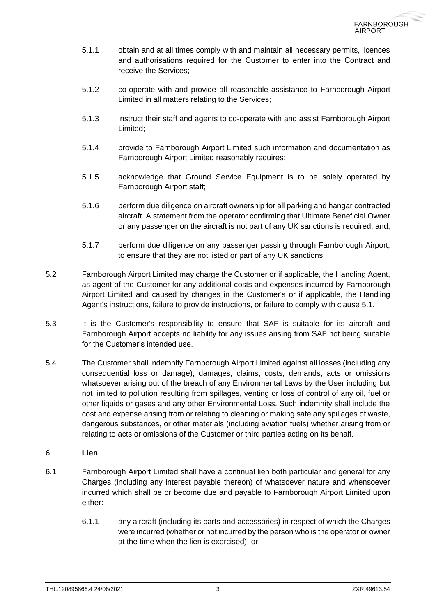- 5.1.1 obtain and at all times comply with and maintain all necessary permits, licences and authorisations required for the Customer to enter into the Contract and receive the Services;
- 5.1.2 co-operate with and provide all reasonable assistance to Farnborough Airport Limited in all matters relating to the Services;
- 5.1.3 instruct their staff and agents to co-operate with and assist Farnborough Airport Limited;
- 5.1.4 provide to Farnborough Airport Limited such information and documentation as Farnborough Airport Limited reasonably requires;
- 5.1.5 acknowledge that Ground Service Equipment is to be solely operated by Farnborough Airport staff;
- 5.1.6 perform due diligence on aircraft ownership for all parking and hangar contracted aircraft. A statement from the operator confirming that Ultimate Beneficial Owner or any passenger on the aircraft is not part of any UK sanctions is required, and;
- 5.1.7 perform due diligence on any passenger passing through Farnborough Airport, to ensure that they are not listed or part of any UK sanctions.
- 5.2 Farnborough Airport Limited may charge the Customer or if applicable, the Handling Agent, as agent of the Customer for any additional costs and expenses incurred by Farnborough Airport Limited and caused by changes in the Customer's or if applicable, the Handling Agent's instructions, failure to provide instructions, or failure to comply with clause [5.1.](#page-1-0)
- 5.3 It is the Customer's responsibility to ensure that SAF is suitable for its aircraft and Farnborough Airport accepts no liability for any issues arising from SAF not being suitable for the Customer's intended use.
- 5.4 The Customer shall indemnify Farnborough Airport Limited against all losses (including any consequential loss or damage), damages, claims, costs, demands, acts or omissions whatsoever arising out of the breach of any Environmental Laws by the User including but not limited to pollution resulting from spillages, venting or loss of control of any oil, fuel or other liquids or gases and any other Environmental Loss. Such indemnity shall include the cost and expense arising from or relating to cleaning or making safe any spillages of waste, dangerous substances, or other materials (including aviation fuels) whether arising from or relating to acts or omissions of the Customer or third parties acting on its behalf.

# <span id="page-2-0"></span>6 **Lien**

- 6.1 Farnborough Airport Limited shall have a continual lien both particular and general for any Charges (including any interest payable thereon) of whatsoever nature and whensoever incurred which shall be or become due and payable to Farnborough Airport Limited upon either:
	- 6.1.1 any aircraft (including its parts and accessories) in respect of which the Charges were incurred (whether or not incurred by the person who is the operator or owner at the time when the lien is exercised); or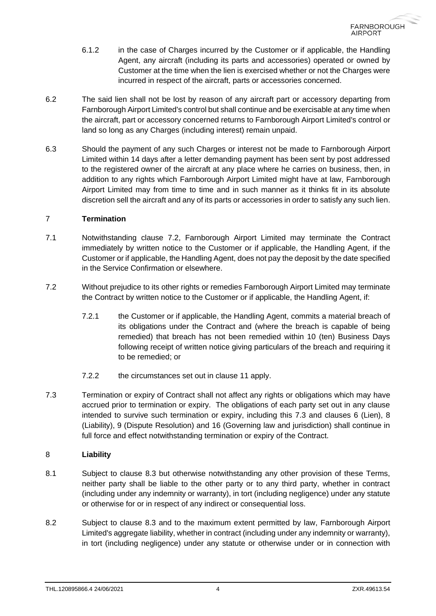- 6.1.2 in the case of Charges incurred by the Customer or if applicable, the Handling Agent, any aircraft (including its parts and accessories) operated or owned by Customer at the time when the lien is exercised whether or not the Charges were incurred in respect of the aircraft, parts or accessories concerned.
- 6.2 The said lien shall not be lost by reason of any aircraft part or accessory departing from Farnborough Airport Limited's control but shall continue and be exercisable at any time when the aircraft, part or accessory concerned returns to Farnborough Airport Limited's control or land so long as any Charges (including interest) remain unpaid.
- 6.3 Should the payment of any such Charges or interest not be made to Farnborough Airport Limited within 14 days after a letter demanding payment has been sent by post addressed to the registered owner of the aircraft at any place where he carries on business, then, in addition to any rights which Farnborough Airport Limited might have at law, Farnborough Airport Limited may from time to time and in such manner as it thinks fit in its absolute discretion sell the aircraft and any of its parts or accessories in order to satisfy any such lien.

### <span id="page-3-3"></span>7 **Termination**

- 7.1 Notwithstanding clause [7.2,](#page-3-0) Farnborough Airport Limited may terminate the Contract immediately by written notice to the Customer or if applicable, the Handling Agent, if the Customer or if applicable, the Handling Agent, does not pay the deposit by the date specified in the Service Confirmation or elsewhere.
- <span id="page-3-0"></span>7.2 Without prejudice to its other rights or remedies Farnborough Airport Limited may terminate the Contract by written notice to the Customer or if applicable, the Handling Agent, if:
	- 7.2.1 the Customer or if applicable, the Handling Agent, commits a material breach of its obligations under the Contract and (where the breach is capable of being remedied) that breach has not been remedied within 10 (ten) Business Days following receipt of written notice giving particulars of the breach and requiring it to be remedied; or
	- 7.2.2 the circumstances set out in clause [11](#page-5-0) apply.
- <span id="page-3-1"></span>7.3 Termination or expiry of Contract shall not affect any rights or obligations which may have accrued prior to termination or expiry. The obligations of each party set out in any clause intended to survive such termination or expiry, including this [7.3](#page-3-1) and clauses [6](#page-2-0) (Lien), [8](#page-3-2) (Liability), [9](#page-4-0) (Dispute Resolution) and [16](#page-6-0) (Governing law and jurisdiction) shall continue in full force and effect notwithstanding termination or expiry of the Contract.

# <span id="page-3-2"></span>8 **Liability**

- 8.1 Subject to clause [8.3](#page-4-1) but otherwise notwithstanding any other provision of these Terms, neither party shall be liable to the other party or to any third party, whether in contract (including under any indemnity or warranty), in tort (including negligence) under any statute or otherwise for or in respect of any indirect or consequential loss.
- 8.2 Subject to clause [8.3](#page-4-1) and to the maximum extent permitted by law, Farnborough Airport Limited's aggregate liability, whether in contract (including under any indemnity or warranty), in tort (including negligence) under any statute or otherwise under or in connection with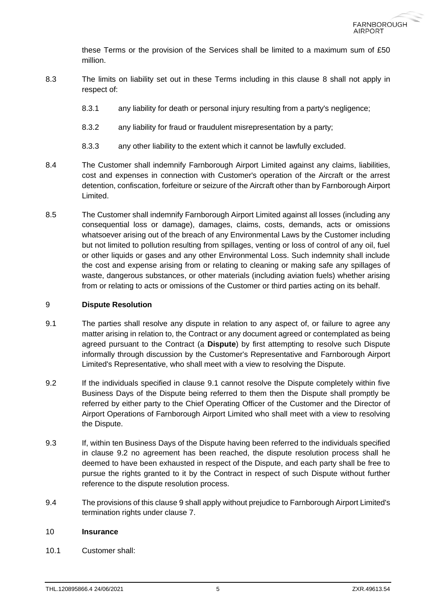these Terms or the provision of the Services shall be limited to a maximum sum of £50 million.

- <span id="page-4-1"></span>8.3 The limits on liability set out in these Terms including in this clause [8](#page-3-2) shall not apply in respect of:
	- 8.3.1 any liability for death or personal injury resulting from a party's negligence;
	- 8.3.2 any liability for fraud or fraudulent misrepresentation by a party;
	- 8.3.3 any other liability to the extent which it cannot be lawfully excluded.
- 8.4 The Customer shall indemnify Farnborough Airport Limited against any claims, liabilities, cost and expenses in connection with Customer's operation of the Aircraft or the arrest detention, confiscation, forfeiture or seizure of the Aircraft other than by Farnborough Airport Limited.
- 8.5 The Customer shall indemnify Farnborough Airport Limited against all losses (including any consequential loss or damage), damages, claims, costs, demands, acts or omissions whatsoever arising out of the breach of any Environmental Laws by the Customer including but not limited to pollution resulting from spillages, venting or loss of control of any oil, fuel or other liquids or gases and any other Environmental Loss. Such indemnity shall include the cost and expense arising from or relating to cleaning or making safe any spillages of waste, dangerous substances, or other materials (including aviation fuels) whether arising from or relating to acts or omissions of the Customer or third parties acting on its behalf.

# <span id="page-4-0"></span>9 **Dispute Resolution**

- <span id="page-4-2"></span>9.1 The parties shall resolve any dispute in relation to any aspect of, or failure to agree any matter arising in relation to, the Contract or any document agreed or contemplated as being agreed pursuant to the Contract (a **Dispute**) by first attempting to resolve such Dispute informally through discussion by the Customer's Representative and Farnborough Airport Limited's Representative, who shall meet with a view to resolving the Dispute.
- <span id="page-4-3"></span>9.2 If the individuals specified in clause [9.1](#page-4-2) cannot resolve the Dispute completely within five Business Days of the Dispute being referred to them then the Dispute shall promptly be referred by either party to the Chief Operating Officer of the Customer and the Director of Airport Operations of Farnborough Airport Limited who shall meet with a view to resolving the Dispute.
- 9.3 If, within ten Business Days of the Dispute having been referred to the individuals specified in clause [9.2](#page-4-3) no agreement has been reached, the dispute resolution process shall he deemed to have been exhausted in respect of the Dispute, and each party shall be free to pursue the rights granted to it by the Contract in respect of such Dispute without further reference to the dispute resolution process.
- 9.4 The provisions of this claus[e 9](#page-4-0) shall apply without prejudice to Farnborough Airport Limited's termination rights under clause [7.](#page-3-3)

# <span id="page-4-4"></span>10 **Insurance**

10.1 Customer shall: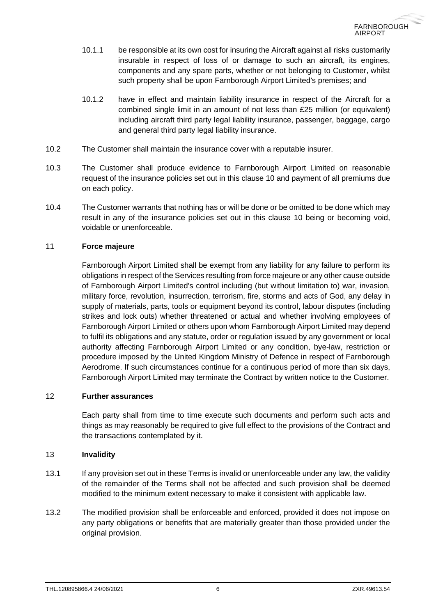- 10.1.1 be responsible at its own cost for insuring the Aircraft against all risks customarily insurable in respect of loss of or damage to such an aircraft, its engines, components and any spare parts, whether or not belonging to Customer, whilst such property shall be upon Farnborough Airport Limited's premises; and
- 10.1.2 have in effect and maintain liability insurance in respect of the Aircraft for a combined single limit in an amount of not less than £25 million (or equivalent) including aircraft third party legal liability insurance, passenger, baggage, cargo and general third party legal liability insurance.
- 10.2 The Customer shall maintain the insurance cover with a reputable insurer.
- 10.3 The Customer shall produce evidence to Farnborough Airport Limited on reasonable request of the insurance policies set out in this clause [10](#page-4-4) and payment of all premiums due on each policy.
- 10.4 The Customer warrants that nothing has or will be done or be omitted to be done which may result in any of the insurance policies set out in this clause [10](#page-4-4) being or becoming void, voidable or unenforceable.

### <span id="page-5-0"></span>11 **Force majeure**

Farnborough Airport Limited shall be exempt from any liability for any failure to perform its obligations in respect of the Services resulting from force majeure or any other cause outside of Farnborough Airport Limited's control including (but without limitation to) war, invasion, military force, revolution, insurrection, terrorism, fire, storms and acts of God, any delay in supply of materials, parts, tools or equipment beyond its control, labour disputes (including strikes and lock outs) whether threatened or actual and whether involving employees of Farnborough Airport Limited or others upon whom Farnborough Airport Limited may depend to fulfil its obligations and any statute, order or regulation issued by any government or local authority affecting Farnborough Airport Limited or any condition, bye-law, restriction or procedure imposed by the United Kingdom Ministry of Defence in respect of Farnborough Aerodrome. If such circumstances continue for a continuous period of more than six days, Farnborough Airport Limited may terminate the Contract by written notice to the Customer.

### 12 **Further assurances**

Each party shall from time to time execute such documents and perform such acts and things as may reasonably be required to give full effect to the provisions of the Contract and the transactions contemplated by it.

### 13 **Invalidity**

- 13.1 If any provision set out in these Terms is invalid or unenforceable under any law, the validity of the remainder of the Terms shall not be affected and such provision shall be deemed modified to the minimum extent necessary to make it consistent with applicable law.
- 13.2 The modified provision shall be enforceable and enforced, provided it does not impose on any party obligations or benefits that are materially greater than those provided under the original provision.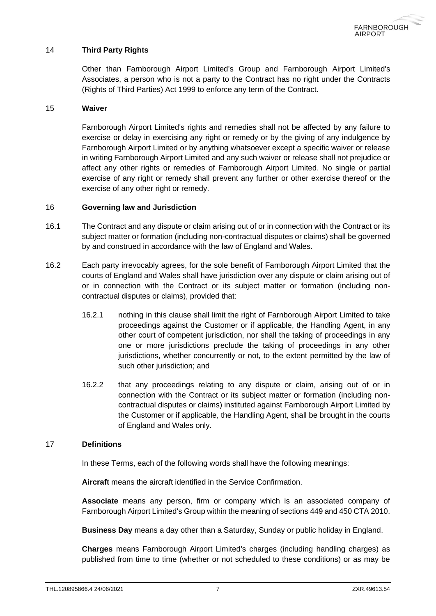### 14 **Third Party Rights**

Other than Farnborough Airport Limited's Group and Farnborough Airport Limited's Associates, a person who is not a party to the Contract has no right under the Contracts (Rights of Third Parties) Act 1999 to enforce any term of the Contract.

#### 15 **Waiver**

Farnborough Airport Limited's rights and remedies shall not be affected by any failure to exercise or delay in exercising any right or remedy or by the giving of any indulgence by Farnborough Airport Limited or by anything whatsoever except a specific waiver or release in writing Farnborough Airport Limited and any such waiver or release shall not prejudice or affect any other rights or remedies of Farnborough Airport Limited. No single or partial exercise of any right or remedy shall prevent any further or other exercise thereof or the exercise of any other right or remedy.

#### <span id="page-6-0"></span>16 **Governing law and Jurisdiction**

- 16.1 The Contract and any dispute or claim arising out of or in connection with the Contract or its subject matter or formation (including non-contractual disputes or claims) shall be governed by and construed in accordance with the law of England and Wales.
- 16.2 Each party irrevocably agrees, for the sole benefit of Farnborough Airport Limited that the courts of England and Wales shall have jurisdiction over any dispute or claim arising out of or in connection with the Contract or its subject matter or formation (including noncontractual disputes or claims), provided that:
	- 16.2.1 nothing in this clause shall limit the right of Farnborough Airport Limited to take proceedings against the Customer or if applicable, the Handling Agent, in any other court of competent jurisdiction, nor shall the taking of proceedings in any one or more jurisdictions preclude the taking of proceedings in any other jurisdictions, whether concurrently or not, to the extent permitted by the law of such other jurisdiction; and
	- 16.2.2 that any proceedings relating to any dispute or claim, arising out of or in connection with the Contract or its subject matter or formation (including noncontractual disputes or claims) instituted against Farnborough Airport Limited by the Customer or if applicable, the Handling Agent, shall be brought in the courts of England and Wales only.

# 17 **Definitions**

In these Terms, each of the following words shall have the following meanings:

**Aircraft** means the aircraft identified in the Service Confirmation.

**Associate** means any person, firm or company which is an associated company of Farnborough Airport Limited's Group within the meaning of sections 449 and 450 CTA 2010.

**Business Day** means a day other than a Saturday, Sunday or public holiday in England.

**Charges** means Farnborough Airport Limited's charges (including handling charges) as published from time to time (whether or not scheduled to these conditions) or as may be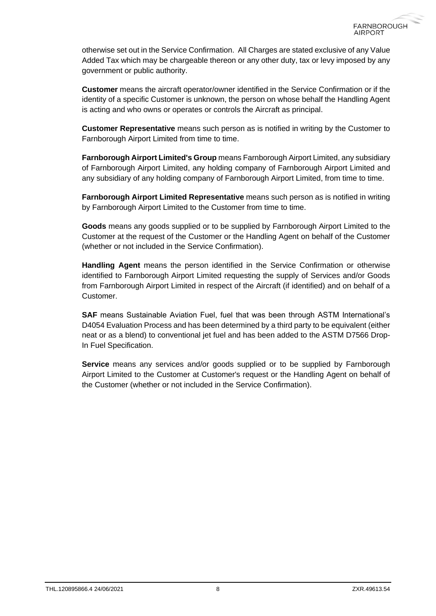otherwise set out in the Service Confirmation. All Charges are stated exclusive of any Value Added Tax which may be chargeable thereon or any other duty, tax or levy imposed by any government or public authority.

**Customer** means the aircraft operator/owner identified in the Service Confirmation or if the identity of a specific Customer is unknown, the person on whose behalf the Handling Agent is acting and who owns or operates or controls the Aircraft as principal.

**Customer Representative** means such person as is notified in writing by the Customer to Farnborough Airport Limited from time to time.

**Farnborough Airport Limited's Group** means Farnborough Airport Limited, any subsidiary of Farnborough Airport Limited, any holding company of Farnborough Airport Limited and any subsidiary of any holding company of Farnborough Airport Limited, from time to time.

**Farnborough Airport Limited Representative** means such person as is notified in writing by Farnborough Airport Limited to the Customer from time to time.

**Goods** means any goods supplied or to be supplied by Farnborough Airport Limited to the Customer at the request of the Customer or the Handling Agent on behalf of the Customer (whether or not included in the Service Confirmation).

**Handling Agent** means the person identified in the Service Confirmation or otherwise identified to Farnborough Airport Limited requesting the supply of Services and/or Goods from Farnborough Airport Limited in respect of the Aircraft (if identified) and on behalf of a Customer.

**SAF** means Sustainable Aviation Fuel, fuel that was been through ASTM International's D4054 Evaluation Process and has been determined by a third party to be equivalent (either neat or as a blend) to conventional jet fuel and has been added to the ASTM D7566 Drop-In Fuel Specification.

**Service** means any services and/or goods supplied or to be supplied by Farnborough Airport Limited to the Customer at Customer's request or the Handling Agent on behalf of the Customer (whether or not included in the Service Confirmation).